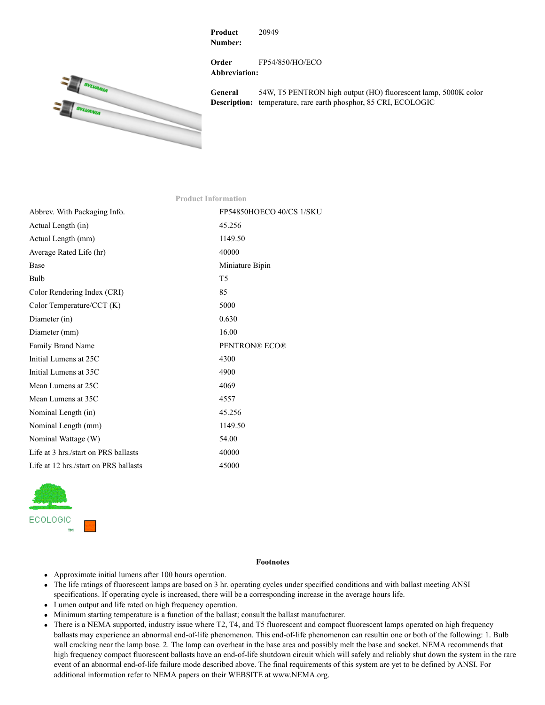**Product Number:** 20949

**Order Abbreviation:** FP54/850/HO/ECO



**General Description:** temperature, rare earth phosphor, 85 CRI, ECOLOGIC 54W, T5 PENTRON high output (HO) fluorescent lamp, 5000K color

|                                       | <b>Product Information</b> |
|---------------------------------------|----------------------------|
| Abbrev. With Packaging Info.          | FP54850HOECO 40/CS 1/SKU   |
| Actual Length (in)                    | 45.256                     |
| Actual Length (mm)                    | 1149.50                    |
| Average Rated Life (hr)               | 40000                      |
| Base                                  | Miniature Bipin            |
| Bulb                                  | T <sub>5</sub>             |
| Color Rendering Index (CRI)           | 85                         |
| Color Temperature/CCT (K)             | 5000                       |
| Diameter (in)                         | 0.630                      |
| Diameter (mm)                         | 16.00                      |
| Family Brand Name                     | PENTRON® ECO®              |
| Initial Lumens at 25C                 | 4300                       |
| Initial Lumens at 35C                 | 4900                       |
| Mean Lumens at 25C                    | 4069                       |
| Mean Lumens at 35C                    | 4557                       |
| Nominal Length (in)                   | 45.256                     |
| Nominal Length (mm)                   | 1149.50                    |
| Nominal Wattage (W)                   | 54.00                      |
| Life at 3 hrs./start on PRS ballasts  | 40000                      |
| Life at 12 hrs./start on PRS ballasts | 45000                      |
|                                       |                            |



## **Footnotes**

- Approximate initial lumens after 100 hours operation.
- The life ratings of fluorescent lamps are based on 3 hr. operating cycles under specified conditions and with ballast meeting ANSI specifications. If operating cycle is increased, there will be a corresponding increase in the average hours life.
- Lumen output and life rated on high frequency operation.
- Minimum starting temperature is a function of the ballast; consult the ballast manufacturer.
- There is a NEMA supported, industry issue where T2, T4, and T5 fluorescent and compact fluorescent lamps operated on high frequency ballasts may experience an abnormal end-of-life phenomenon. This end-of-life phenomenon can resultin one or both of the following: 1. Bulb wall cracking near the lamp base. 2. The lamp can overheat in the base area and possibly melt the base and socket. NEMA recommends that high frequency compact fluorescent ballasts have an end-of-life shutdown circuit which will safely and reliably shut down the system in the rare event of an abnormal end-of-life failure mode described above. The final requirements of this system are yet to be defined by ANSI. For additional information refer to NEMA papers on their WEBSITE at www.NEMA.org.